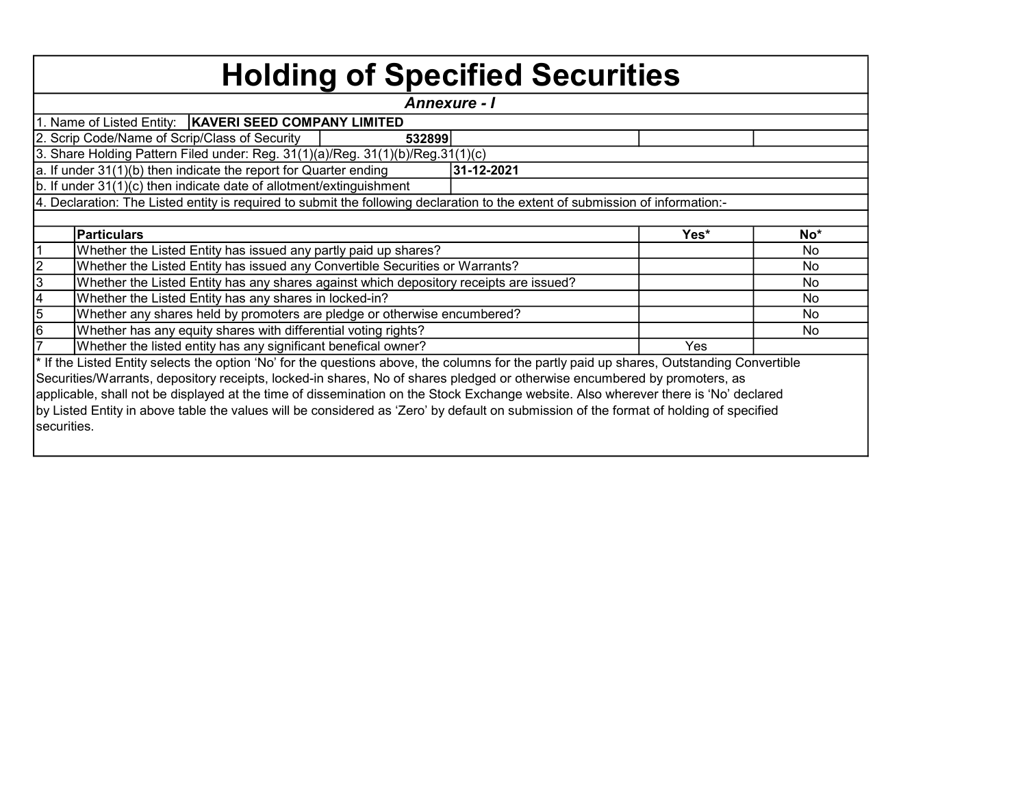|                | <b>Holding of Specified Securities</b>                                                                                                     |                     |      |       |
|----------------|--------------------------------------------------------------------------------------------------------------------------------------------|---------------------|------|-------|
|                |                                                                                                                                            | <b>Annexure - I</b> |      |       |
|                | 1. Name of Listed Entity:   KAVERI SEED COMPANY LIMITED                                                                                    |                     |      |       |
|                | 2. Scrip Code/Name of Scrip/Class of Security<br>532899                                                                                    |                     |      |       |
|                | 3. Share Holding Pattern Filed under: Reg. 31(1)(a)/Reg. 31(1)(b)/Reg.31(1)(c)                                                             |                     |      |       |
|                | a. If under 31(1)(b) then indicate the report for Quarter ending                                                                           | 31-12-2021          |      |       |
|                | b. If under 31(1)(c) then indicate date of allotment/extinguishment                                                                        |                     |      |       |
|                | 4. Declaration: The Listed entity is required to submit the following declaration to the extent of submission of information:-             |                     |      |       |
|                |                                                                                                                                            |                     |      |       |
|                | Particulars                                                                                                                                |                     | Yes* | $No*$ |
|                | Whether the Listed Entity has issued any partly paid up shares?                                                                            |                     |      | No    |
|                | Whether the Listed Entity has issued any Convertible Securities or Warrants?                                                               |                     |      | No    |
| $\frac{2}{3}$  | Whether the Listed Entity has any shares against which depository receipts are issued?                                                     |                     |      | No    |
|                | Whether the Listed Entity has any shares in locked-in?                                                                                     |                     |      | No.   |
| $\frac{4}{5}$  | Whether any shares held by promoters are pledge or otherwise encumbered?                                                                   |                     |      | No    |
|                | Whether has any equity shares with differential voting rights?                                                                             |                     |      | No.   |
| $\overline{7}$ | Whether the listed entity has any significant benefical owner?                                                                             |                     | Yes  |       |
|                | * If the Listed Entity selects the option 'No' for the questions above, the columns for the partly paid up shares, Outstanding Convertible |                     |      |       |
|                | Securities/Warrants, depository receipts, locked-in shares, No of shares pledged or otherwise encumbered by promoters, as                  |                     |      |       |
|                | applicable, shall not be displayed at the time of dissemination on the Stock Exchange website. Also wherever there is 'No' declared        |                     |      |       |
|                | by Listed Entity in above table the values will be considered as 'Zero' by default on submission of the format of holding of specified     |                     |      |       |
| securities.    |                                                                                                                                            |                     |      |       |
|                |                                                                                                                                            |                     |      |       |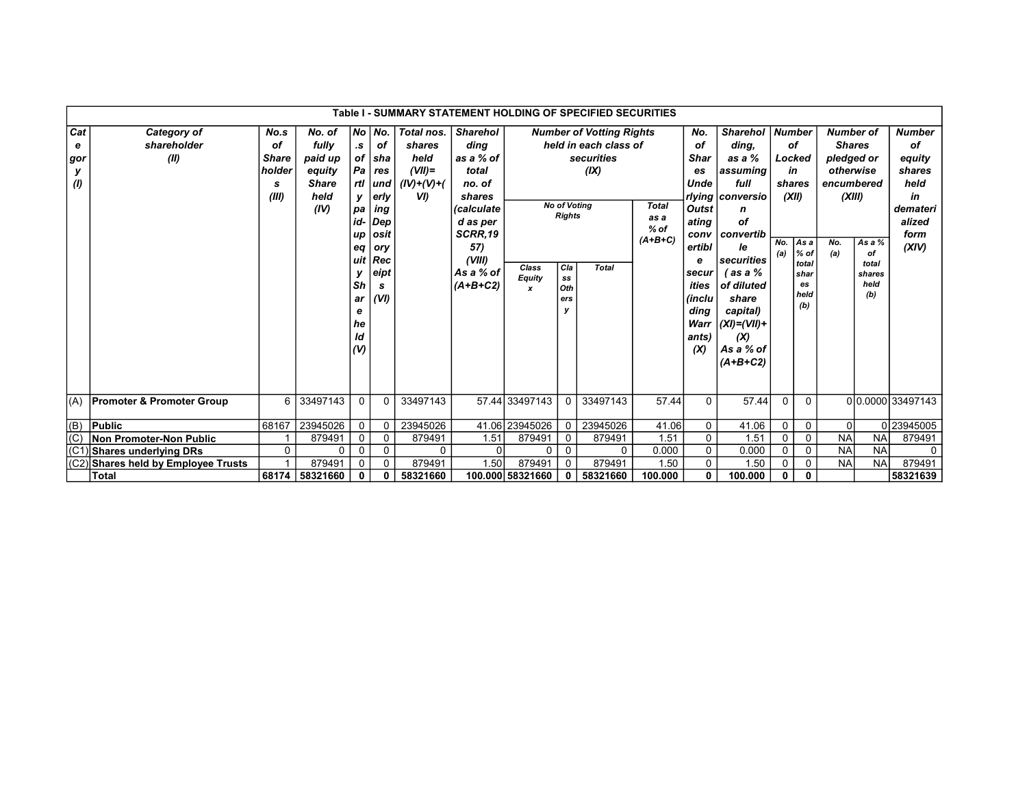|                             |                                      |                                                    |                                                                      |                                                                       |                                                                                                                                      | Table I - SUMMARY STATEMENT HOLDING OF SPECIFIED SECURITIES        |                                                                                                                                                           |                              |                                                                                                                        |                                                                                                |                                             |                                                                                                                                                    |                                                                                                                                                                                                                                      |              |                                                                                                                |                                                                                                    |                                                |                                                                                              |
|-----------------------------|--------------------------------------|----------------------------------------------------|----------------------------------------------------------------------|-----------------------------------------------------------------------|--------------------------------------------------------------------------------------------------------------------------------------|--------------------------------------------------------------------|-----------------------------------------------------------------------------------------------------------------------------------------------------------|------------------------------|------------------------------------------------------------------------------------------------------------------------|------------------------------------------------------------------------------------------------|---------------------------------------------|----------------------------------------------------------------------------------------------------------------------------------------------------|--------------------------------------------------------------------------------------------------------------------------------------------------------------------------------------------------------------------------------------|--------------|----------------------------------------------------------------------------------------------------------------|----------------------------------------------------------------------------------------------------|------------------------------------------------|----------------------------------------------------------------------------------------------|
| Cat<br>е<br>gor<br>У<br>(1) | Category of<br>shareholder<br>(II)   | No.s<br>οf<br><b>Share</b><br>holder<br>s<br>(III) | No. of<br>fully<br>paid up<br>equity<br><b>Share</b><br>held<br>(IV) | $\cdot$ s<br>ν.<br>pa<br>up<br>eq<br>Sh<br>ar<br>е<br>he<br>ld<br>(V) | No No.<br><b>of</b><br>of sha<br>$Pa$ res<br>rtl und<br>erly<br>ing<br>id- Dep<br><b>osit</b><br>ory<br>uit Rec<br>eipt<br>s<br>(VI) | Total nos.<br>shares<br>held<br>$(VII)$ =<br>$(IV)+(V)+(V)$<br>VI) | <b>Sharehol</b><br>ding<br>as a % of<br>total<br>no. of<br>shares<br><i>(calculate</i><br>d as per<br>SCRR.19<br>57)<br>(VIII)<br>As a % of<br>$(A+B+C2)$ | Class<br><b>Equity</b><br>x  | <b>No of Votina</b><br><b>Rights</b><br>Cla<br>$\textcolor{red}{\textbf{s}}\textcolor{blue}{\textbf{s}}$<br>Oth<br>ers | <b>Number of Votting Rights</b><br>held in each class of<br>securities<br>(IX)<br><b>Total</b> | <b>Total</b><br>as a<br>$%$ of<br>$(A+B+C)$ | No.<br>of<br><b>Shar</b><br>es<br>Unde<br><b>Outst</b><br>ating<br>conv<br>ertibl<br>е<br>secur<br>ities<br>(inclu<br>ding<br>Warr<br>ants)<br>(X) | <b>Sharehol</b><br>ding.<br>as a %<br>assuming<br>full<br>rlying   conversio<br>n<br>οf<br>  convertib<br><i>le</i><br> securities<br>′as a %<br>of diluted<br>share<br>capital)<br>$ (XI)=(VII)+$<br>(X)<br>As a % of<br>$(A+B+C2)$ | No.<br>(a)   | <b>Number</b><br>οf<br>Locked<br>in<br>shares<br>(XII)<br>As a<br>$%$ of<br>total<br>shar<br>es<br>held<br>(b) | <b>Number of</b><br><b>Shares</b><br>pledged or<br>otherwise<br>encumbered<br>(XIII)<br>No.<br>(a) | As a %<br>of<br>total<br>shares<br>held<br>(b) | <b>Number</b><br>οf<br>equity<br>shares<br>held<br>in<br>demateri<br>alized<br>form<br>(XIV) |
| (A)                         | <b>Promoter &amp; Promoter Group</b> | 6                                                  | 33497143                                                             | 0                                                                     | $\mathbf{0}$                                                                                                                         | 33497143                                                           |                                                                                                                                                           | 57.44 33497143               | 0                                                                                                                      | 33497143                                                                                       | 57.44                                       | $\Omega$                                                                                                                                           | 57.44                                                                                                                                                                                                                                | $\Omega$     | $\mathbf{0}$                                                                                                   |                                                                                                    |                                                | 00.0000 33497143                                                                             |
| $ $ (B)                     | <b>Public</b>                        | 68167                                              | 23945026                                                             | 0                                                                     | $\Omega$                                                                                                                             | 23945026                                                           |                                                                                                                                                           | 41.06 23945026               | 0                                                                                                                      | 23945026                                                                                       | 41.06                                       | 0                                                                                                                                                  | 41.06                                                                                                                                                                                                                                | 0            | 0                                                                                                              | $\Omega$                                                                                           |                                                | 023945005                                                                                    |
| (C)                         | <b>Non Promoter-Non Public</b>       |                                                    | 879491                                                               | 0                                                                     | 0                                                                                                                                    | 879491                                                             | 1.51                                                                                                                                                      | 879491                       | 0                                                                                                                      | 879491                                                                                         | 1.51                                        | 0                                                                                                                                                  | 1.51                                                                                                                                                                                                                                 | 0            | 0                                                                                                              | <b>NA</b>                                                                                          | <b>NA</b>                                      | 879491                                                                                       |
| (C <sup>2</sup> )           | Shares underlying DRs                | 0                                                  | 0                                                                    | 0                                                                     | 0                                                                                                                                    | $\mathbf{0}$                                                       | $\Omega$                                                                                                                                                  | 0                            | $\mathbf 0$                                                                                                            | 0                                                                                              | 0.000                                       | 0                                                                                                                                                  | 0.000                                                                                                                                                                                                                                | $\mathbf 0$  | $\mathbf 0$                                                                                                    | <b>NA</b>                                                                                          | <b>NA</b>                                      | 0                                                                                            |
| (C2)                        | Shares held by Employee Trusts       |                                                    | 879491                                                               | 0                                                                     | $\Omega$                                                                                                                             | 879491                                                             | 1.50                                                                                                                                                      | 879491<br>879491<br>$\Omega$ |                                                                                                                        | 1.50                                                                                           | 0                                           | 1.50                                                                                                                                               | $\mathbf 0$                                                                                                                                                                                                                          | 0            | <b>NA</b>                                                                                                      | <b>NA</b>                                                                                          | 879491                                         |                                                                                              |
|                             | <b>Total</b>                         | 68174                                              | 58321660                                                             | 0                                                                     | 0                                                                                                                                    | 58321660                                                           |                                                                                                                                                           | 100.000 58321660             | 0                                                                                                                      | 58321660                                                                                       | 100.000                                     | 0                                                                                                                                                  | 100.000                                                                                                                                                                                                                              | $\mathbf{0}$ | $\mathbf{0}$                                                                                                   |                                                                                                    |                                                | 58321639                                                                                     |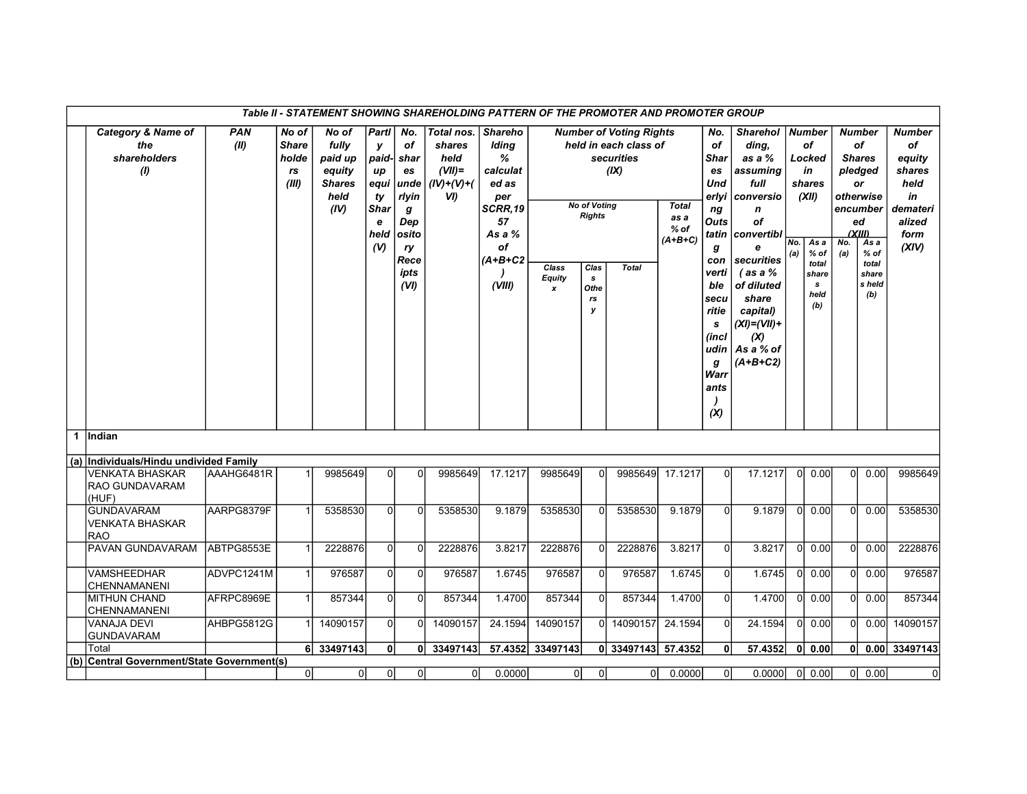|                      |                                                             |                    |                                               |                                                                      |                                                                            |                                                                                              | Table II - STATEMENT SHOWING SHAREHOLDING PATTERN OF THE PROMOTER AND PROMOTER GROUP |                                                                                                                |                                     |                                                                      |                                                                                               |                                             |                                                                                                                                                               |                                                                                                                                                                                                                          |            |                                                                                                                |                |                                                                                                                                                            |                                                                                              |
|----------------------|-------------------------------------------------------------|--------------------|-----------------------------------------------|----------------------------------------------------------------------|----------------------------------------------------------------------------|----------------------------------------------------------------------------------------------|--------------------------------------------------------------------------------------|----------------------------------------------------------------------------------------------------------------|-------------------------------------|----------------------------------------------------------------------|-----------------------------------------------------------------------------------------------|---------------------------------------------|---------------------------------------------------------------------------------------------------------------------------------------------------------------|--------------------------------------------------------------------------------------------------------------------------------------------------------------------------------------------------------------------------|------------|----------------------------------------------------------------------------------------------------------------|----------------|------------------------------------------------------------------------------------------------------------------------------------------------------------|----------------------------------------------------------------------------------------------|
|                      | <b>Category &amp; Name of</b><br>the<br>shareholders<br>(1) | <b>PAN</b><br>(II) | No of<br><b>Share</b><br>holde<br>rs<br>(III) | No of<br>fully<br>paid up<br>equity<br><b>Shares</b><br>held<br>(IV) | Part <br>y<br>paid-<br>up<br>equi<br>ty<br><b>Shar</b><br>e<br>held<br>(V) | No.<br>of<br>shar<br>es<br>unde<br>rlyin<br>g<br>Dep<br> osito<br>ry<br>Rece<br>ipts<br>(VI) | Total nos.<br>shares<br>held<br>$(VII)$ =<br>$(IV)+(V)+(V)$<br>VI)                   | <b>Shareho</b><br>Iding<br>℅<br>calculat<br>ed as<br>per<br>SCRR,19<br>57<br>As a %<br>of<br>(A+B+C2<br>(VIII) | Class<br>Equity<br>$\boldsymbol{x}$ | <b>No of Voting</b><br><b>Rights</b><br>Clas<br>s<br>Othe<br>rs<br>у | <b>Number of Voting Rights</b><br>held in each class of<br>securities<br>(IX)<br><b>Total</b> | <b>Total</b><br>as a<br>$%$ of<br>$(A+B+C)$ | No.<br>οf<br>Shar<br>es<br>Und<br>erlyi<br>ng<br>Outs<br>tatin<br>g<br>con<br>verti<br>ble<br>secu<br>ritie<br>s<br>(incl<br>udin<br>g<br>Warr<br>ants<br>(X) | <b>Sharehol</b><br>ding,<br>as a %<br>assuming<br>full<br>conversio<br>n<br>оf<br>convertibl<br>e<br>securities<br>$($ as a $%$<br>of diluted<br>share<br>capital)<br>$(XI) = (VII) +$<br>(X)<br>As a % of<br>$(A+B+C2)$ | No.<br>(a) | <b>Number</b><br>оf<br>Locked<br>in<br>shares<br>(XII)<br>As a<br>$%$ of<br>total<br>share<br>s<br>held<br>(b) | No.<br>(a)     | <b>Number</b><br>of<br><b>Shares</b><br>pledged<br><b>or</b><br>otherwise<br>encumber<br>ed<br>(XIII)<br>As a<br>$%$ of<br>total<br>share<br>s held<br>(b) | <b>Number</b><br>of<br>equity<br>shares<br>held<br>in<br>demateri<br>alized<br>form<br>(XIV) |
| $\blacktriangleleft$ | Indian                                                      |                    |                                               |                                                                      |                                                                            |                                                                                              |                                                                                      |                                                                                                                |                                     |                                                                      |                                                                                               |                                             |                                                                                                                                                               |                                                                                                                                                                                                                          |            |                                                                                                                |                |                                                                                                                                                            |                                                                                              |
|                      | (a) Individuals/Hindu undivided Family                      |                    |                                               |                                                                      |                                                                            |                                                                                              |                                                                                      |                                                                                                                |                                     |                                                                      |                                                                                               |                                             |                                                                                                                                                               |                                                                                                                                                                                                                          |            |                                                                                                                |                |                                                                                                                                                            |                                                                                              |
|                      | <b>VENKATA BHASKAR</b><br>RAO GUNDAVARAM<br>(HUF)           | AAAHG6481R         |                                               | 9985649                                                              | $\Omega$                                                                   | $\Omega$                                                                                     | 9985649                                                                              | 17.1217                                                                                                        | 9985649                             | $\Omega$                                                             | 9985649                                                                                       | 17.1217                                     | $\Omega$                                                                                                                                                      | 17.1217                                                                                                                                                                                                                  | 0l         | 0.00                                                                                                           | 0l             | 0.00                                                                                                                                                       | 9985649                                                                                      |
|                      | <b>GUNDAVARAM</b><br><b>VENKATA BHASKAR</b><br><b>IRAO</b>  | AARPG8379F         | 1                                             | 5358530                                                              | $\Omega$                                                                   | $\Omega$                                                                                     | 5358530                                                                              | 9.1879                                                                                                         | 5358530                             | $\Omega$                                                             | 5358530                                                                                       | 9.1879                                      | $\Omega$                                                                                                                                                      | 9.1879                                                                                                                                                                                                                   | -0l        | 0.00                                                                                                           | $\Omega$       | 0.00                                                                                                                                                       | 5358530                                                                                      |
|                      | PAVAN GUNDAVARAM                                            | ABTPG8553E         | 1                                             | 2228876                                                              | 0                                                                          | $\mathbf 0$                                                                                  | 2228876                                                                              | 3.8217                                                                                                         | 2228876                             | $\Omega$                                                             | 2228876                                                                                       | 3.8217                                      | $\overline{0}$                                                                                                                                                | 3.8217                                                                                                                                                                                                                   | 0l         | 0.00                                                                                                           | $\overline{0}$ | 0.00                                                                                                                                                       | 2228876                                                                                      |
|                      | <b>VAMSHEEDHAR</b><br><b>CHENNAMANENI</b>                   | ADVPC1241M         | $\mathbf{1}$                                  | 976587                                                               | $\overline{0}$                                                             | $\mathbf{0}$                                                                                 | 976587                                                                               | 1.6745                                                                                                         | 976587                              | 0l                                                                   | 976587                                                                                        | 1.6745                                      | $\overline{0}$                                                                                                                                                | 1.6745                                                                                                                                                                                                                   | $\Omega$   | 0.00                                                                                                           | <sup>0</sup>   | 0.00                                                                                                                                                       | 976587                                                                                       |
|                      | MITHUN CHAND<br><b>CHENNAMANENI</b>                         | AFRPC8969E         | 1                                             | 857344                                                               | $\overline{0}$                                                             | $\mathbf{0}$                                                                                 | 857344                                                                               | 1.4700                                                                                                         | 857344                              | $\Omega$                                                             | 857344                                                                                        | 1.4700                                      | $\overline{0}$                                                                                                                                                | 1.4700                                                                                                                                                                                                                   | $\Omega$   | 0.00                                                                                                           | $\overline{0}$ | 0.00                                                                                                                                                       | 857344                                                                                       |
|                      | VANAJA DEVI<br><b>GUNDAVARAM</b>                            | AHBPG5812G         | 1                                             | 14090157                                                             | $\Omega$                                                                   | $\Omega$                                                                                     | 14090157                                                                             | 24.1594                                                                                                        | 14090157                            |                                                                      | 0 14090157                                                                                    | 24.1594                                     | $\overline{0}$                                                                                                                                                | 24.1594                                                                                                                                                                                                                  | 0l         | 0.00                                                                                                           | $\Omega$       | 0.00                                                                                                                                                       | 14090157                                                                                     |
|                      | Total                                                       |                    |                                               | 6 33497143                                                           | 0l                                                                         |                                                                                              | $\overline{0}$ 33497143                                                              |                                                                                                                | 57.4352 33497143                    |                                                                      | 0 33497143 57.4352                                                                            |                                             | 0                                                                                                                                                             | 57.4352                                                                                                                                                                                                                  | 0          | 0.00                                                                                                           | 0 <sup>1</sup> |                                                                                                                                                            | 0.00 33497143                                                                                |
| (b)                  | Central Government/State Government(s)                      |                    |                                               |                                                                      |                                                                            |                                                                                              |                                                                                      |                                                                                                                |                                     |                                                                      |                                                                                               |                                             |                                                                                                                                                               |                                                                                                                                                                                                                          |            |                                                                                                                |                |                                                                                                                                                            |                                                                                              |
|                      |                                                             |                    | 0                                             | 0                                                                    | 0                                                                          | $\overline{0}$                                                                               | 0                                                                                    | 0.0000                                                                                                         | 0                                   | 0                                                                    | 0                                                                                             | 0.0000                                      | $\overline{0}$                                                                                                                                                | 0.0000                                                                                                                                                                                                                   |            | $ 0 $ 0.00                                                                                                     |                | 0 0.00                                                                                                                                                     | $\overline{0}$                                                                               |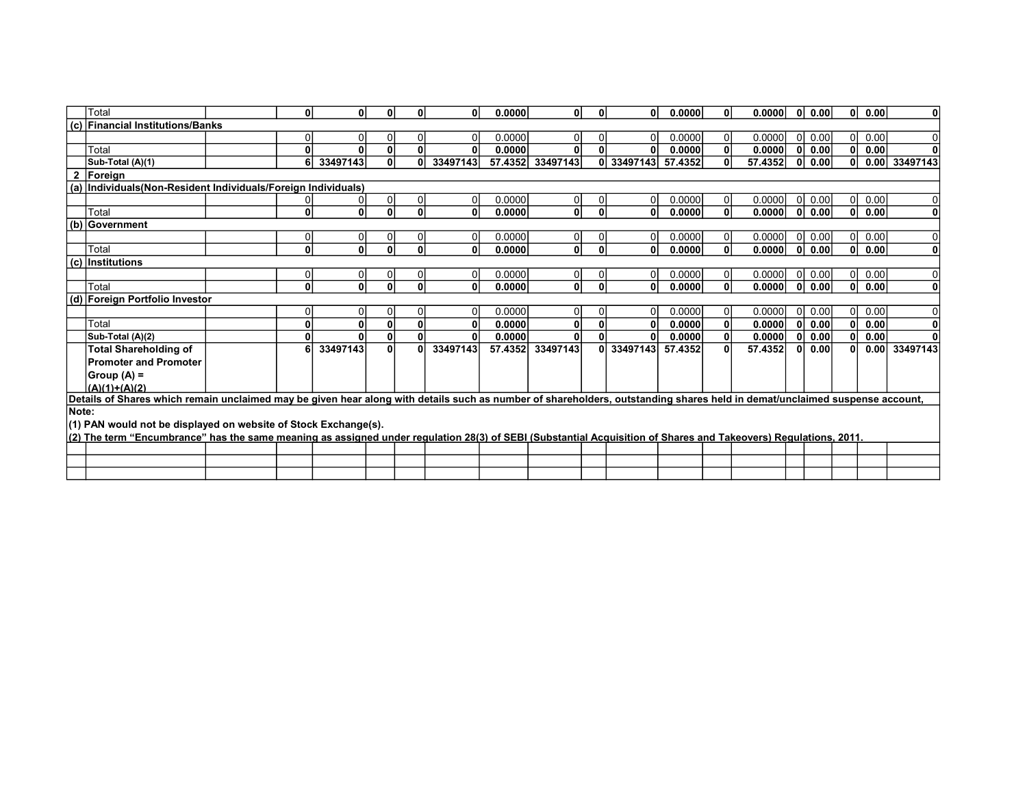|              | Total                                                                                                                                                                      | 0l             | O۱           | $\mathbf{0}$ | $\mathbf{0}$ | 0I.      | 0.0000  | $\mathbf{0}$ | 0            | 0              | 0.0000  | $\mathbf{0}$   | 0.0000  | 0l           | 0.00 | ΟI           | 0.00 | $\mathbf{0}$  |
|--------------|----------------------------------------------------------------------------------------------------------------------------------------------------------------------------|----------------|--------------|--------------|--------------|----------|---------|--------------|--------------|----------------|---------|----------------|---------|--------------|------|--------------|------|---------------|
|              | (c) Financial Institutions/Banks                                                                                                                                           |                |              |              |              |          |         |              |              |                |         |                |         |              |      |              |      |               |
|              |                                                                                                                                                                            | $\Omega$       |              | $\Omega$     | $\mathbf{0}$ | ٥I       | 0.0000  | $\Omega$     |              | 0              | 0.0000  | $\overline{0}$ | 0.0000  | -OI          | 0.00 | ΟI           | 0.00 | $\Omega$      |
|              | Total                                                                                                                                                                      | $\mathbf{0}$   |              | 0            | $\mathbf{0}$ | O۱       | 0.0000  | 0            |              | 0              | 0.0000  | 0              | 0.0000  | n            | 0.00 | $\mathbf{0}$ | 0.00 | $\Omega$      |
|              | Sub-Total (A)(1)                                                                                                                                                           | 6              | 33497143     | $\mathbf{0}$ | 0            | 33497143 | 57.4352 | 33497143     |              | 0 33497143     | 57.4352 | 0              | 57.4352 | 0            | 0.00 | $\mathbf{0}$ |      | 0.00 33497143 |
| $\mathbf{2}$ | Foreign                                                                                                                                                                    |                |              |              |              |          |         |              |              |                |         |                |         |              |      |              |      |               |
|              | (a) Individuals (Non-Resident Individuals/Foreign Individuals)                                                                                                             |                |              |              |              |          |         |              |              |                |         |                |         |              |      |              |      |               |
|              |                                                                                                                                                                            | $\Omega$       |              |              | $\mathbf{0}$ | 01       | 0.0000  | $\Omega$     |              | $\overline{0}$ | 0.0000  | $\overline{0}$ | 0.0000  | ΩI           | 0.00 | $\Omega$     | 0.00 |               |
|              | Total                                                                                                                                                                      | 0              | $\mathbf{0}$ | $\mathbf{0}$ | $\mathbf{0}$ | 0l       | 0.0000  | $\mathbf{0}$ | $\mathbf{0}$ | $\mathbf{0}$   | 0.0000  | 0              | 0.0000  | $\Omega$     | 0.00 | 0            | 0.00 | $\mathbf 0$   |
|              | (b) Government                                                                                                                                                             |                |              |              |              |          |         |              |              |                |         |                |         |              |      |              |      |               |
|              |                                                                                                                                                                            | $\Omega$       |              |              | 0            | Οl       | 0.0000  | $\Omega$     |              | 0              | 0.0000  | $\overline{0}$ | 0.0000  | $\Omega$     | 0.00 | $\Omega$     | 0.00 | 0             |
|              | Total                                                                                                                                                                      | 0              | $\mathbf{0}$ | $\mathbf{0}$ | $\mathbf{0}$ | 0l       | 0.0000  | $\mathbf{0}$ |              | 0              | 0.0000  | 0              | 0.0000  | $\mathbf{0}$ | 0.00 | 0            | 0.00 | $\mathbf{0}$  |
|              | $(c)$ Institutions                                                                                                                                                         |                |              |              |              |          |         |              |              |                |         |                |         |              |      |              |      |               |
|              |                                                                                                                                                                            | $\overline{0}$ | 0            | 0            | 0            | 0I       | 0.0000  | $\Omega$     |              | $\overline{0}$ | 0.0000  | $\overline{0}$ | 0.0000  | <sup>0</sup> | 0.00 | 0I           | 0.00 | $\Omega$      |
|              | Total                                                                                                                                                                      | 0              | $\mathbf{0}$ | $\mathbf{0}$ | $\mathbf{0}$ | 0        | 0.0000  | $\mathbf{0}$ | 0            | 0              | 0.0000  | $\mathbf{0}$   | 0.0000  | 0l           | 0.00 | 0l           | 0.00 | $\mathbf 0$   |
|              | (d) Foreign Portfolio Investor                                                                                                                                             |                |              |              |              |          |         |              |              |                |         |                |         |              |      |              |      |               |
|              |                                                                                                                                                                            | $\Omega$       | 0            | 0            | 0            | 01       | 0.0000  | 0            |              | 0              | 0.0000  | $\overline{0}$ | 0.0000  | $\Omega$     | 0.00 | 01           | 0.00 | $\Omega$      |
|              | Total                                                                                                                                                                      | $\mathbf{0}$   | O            | $\mathbf{0}$ | $\mathbf{0}$ | 0        | 0.0000  | $\mathbf{0}$ |              | 0              | 0.0000  | $\mathbf{0}$   | 0.0000  | $\mathbf{0}$ | 0.00 | 0l           | 0.00 | $\mathbf 0$   |
|              | Sub-Total (A)(2)                                                                                                                                                           | $\mathbf{0}$   |              | $\mathbf{0}$ | 0            | O١       | 0.0000  | 0            |              | $\mathbf{0}$   | 0.0000  | $\mathbf{0}$   | 0.0000  | 0            | 0.00 |              | 0.00 |               |
|              | <b>Total Shareholding of</b>                                                                                                                                               | 6              | 33497143     | $\mathbf{0}$ | $\mathbf{0}$ | 33497143 | 57.4352 | 33497143     |              | 0 33497143     | 57.4352 | 0              | 57.4352 | 0            | 0.00 | O            | 0.00 | 33497143      |
|              | <b>Promoter and Promoter</b>                                                                                                                                               |                |              |              |              |          |         |              |              |                |         |                |         |              |      |              |      |               |
|              | $Group (A) =$                                                                                                                                                              |                |              |              |              |          |         |              |              |                |         |                |         |              |      |              |      |               |
|              | $(A)(1)+(A)(2)$                                                                                                                                                            |                |              |              |              |          |         |              |              |                |         |                |         |              |      |              |      |               |
|              | Details of Shares which remain unclaimed may be given hear along with details such as number of shareholders, outstanding shares held in demat/unclaimed suspense account, |                |              |              |              |          |         |              |              |                |         |                |         |              |      |              |      |               |
| Note:        |                                                                                                                                                                            |                |              |              |              |          |         |              |              |                |         |                |         |              |      |              |      |               |
|              | (1) PAN would not be displayed on website of Stock Exchange(s).                                                                                                            |                |              |              |              |          |         |              |              |                |         |                |         |              |      |              |      |               |
|              | (2) The term "Encumbrance" has the same meaning as assigned under regulation 28(3) of SEBI (Substantial Acquisition of Shares and Takeovers) Regulations, 2011.            |                |              |              |              |          |         |              |              |                |         |                |         |              |      |              |      |               |
|              |                                                                                                                                                                            |                |              |              |              |          |         |              |              |                |         |                |         |              |      |              |      |               |
|              |                                                                                                                                                                            |                |              |              |              |          |         |              |              |                |         |                |         |              |      |              |      |               |
|              |                                                                                                                                                                            |                |              |              |              |          |         |              |              |                |         |                |         |              |      |              |      |               |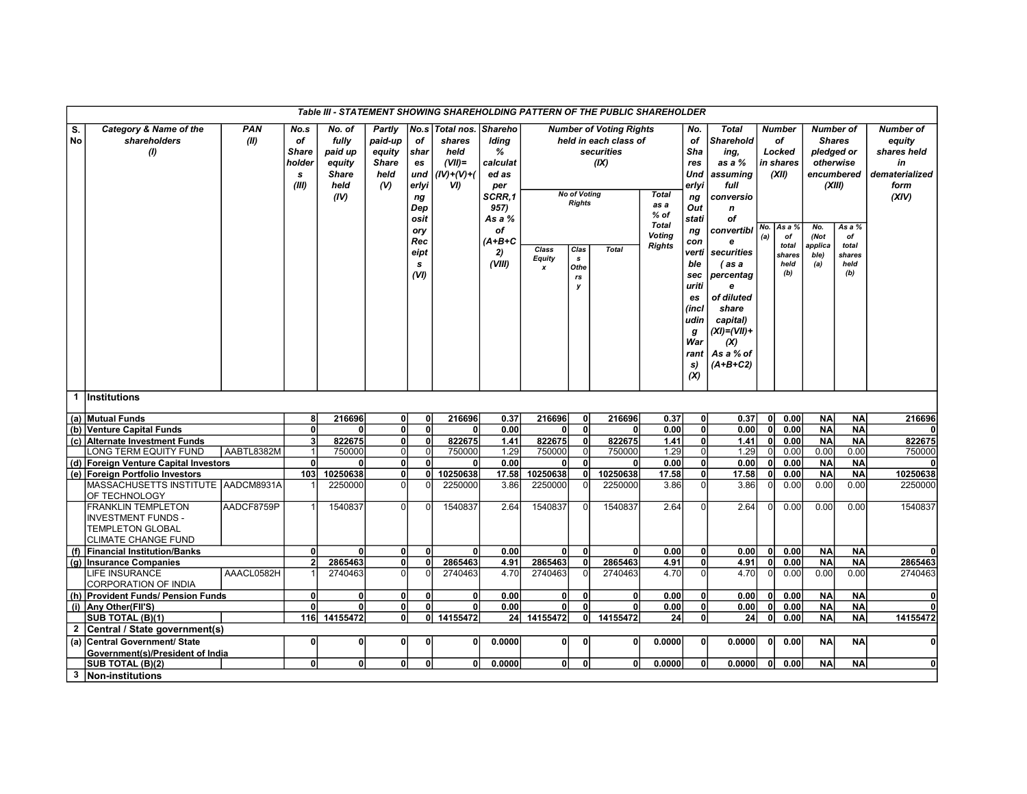|                 |                                                                                                                 |                    |                                                               |                                                                      |                                                            |                                                                                                             |                                                                    |                                                                                                                        |                      |                                                                                 | Table III - STATEMENT SHOWING SHAREHOLDING PATTERN OF THE PUBLIC SHAREHOLDER                  |                                                                           |                                                                                                                                                                    |                                                                                                                                                                                                                                                        |            |                                                                                                       |                                       |                                                                                                                                        |                                                                                    |
|-----------------|-----------------------------------------------------------------------------------------------------------------|--------------------|---------------------------------------------------------------|----------------------------------------------------------------------|------------------------------------------------------------|-------------------------------------------------------------------------------------------------------------|--------------------------------------------------------------------|------------------------------------------------------------------------------------------------------------------------|----------------------|---------------------------------------------------------------------------------|-----------------------------------------------------------------------------------------------|---------------------------------------------------------------------------|--------------------------------------------------------------------------------------------------------------------------------------------------------------------|--------------------------------------------------------------------------------------------------------------------------------------------------------------------------------------------------------------------------------------------------------|------------|-------------------------------------------------------------------------------------------------------|---------------------------------------|----------------------------------------------------------------------------------------------------------------------------------------|------------------------------------------------------------------------------------|
| S.<br><b>No</b> | Category & Name of the<br>shareholders<br>(1)                                                                   | <b>PAN</b><br>(II) | No.s<br>of<br><b>Share</b><br>holder<br>$\mathbf{s}$<br>(III) | No. of<br>fully<br>paid up<br>equity<br><b>Share</b><br>held<br>(IV) | Partly<br>paid-up<br>equity<br><b>Share</b><br>held<br>(V) | No.s<br>of<br>shar<br>es<br>und<br>erlyi<br>ng<br>Dep<br>osit<br>ory<br>Rec<br>eipt<br>$\mathbf{s}$<br>(VI) | Total nos.<br>shares<br>held<br>$(VII)$ =<br>$(IV)+(V)+(V)$<br>VI) | <b>Shareho</b><br>Iding<br>%<br>calculat<br>ed as<br>per<br>SCRR.1<br>957)<br>As a %<br>of<br>$(A+B+C$<br>2)<br>(VIII) | Class<br>Equity<br>x | <b>No of Voting</b><br><b>Rights</b><br>Clas<br>s<br>Othe<br>$r\mathbf{s}$<br>у | <b>Number of Voting Rights</b><br>held in each class of<br>securities<br>(IX)<br><b>Total</b> | <b>Total</b><br>as a<br>$%$ of<br>Total<br><b>Voting</b><br><b>Rights</b> | No.<br>of<br>Sha<br>res<br>Und<br>erlvi<br>ng<br>Out<br>stati<br>ng<br>con<br>verti<br>ble<br>sec<br>uriti<br>es<br>(incl<br>udin<br>g<br>War<br>rant<br>s)<br>(X) | <b>Total</b><br>Sharehold<br>ing,<br>as a %<br>assuming<br>full<br>conversio<br>$\boldsymbol{n}$<br>оf<br>convertibl<br>e<br>securities<br>(as a<br>percentag<br>e<br>of diluted<br>share<br>capital)<br>(XI)=(VII)+<br>(X)<br>As a % of<br>$(A+B+C2)$ | No.<br>(a) | <b>Number</b><br>of<br>Locked<br>in shares<br>(XII)<br>As a %<br>of<br>total<br>shares<br>held<br>(b) | No.<br>(Not<br>applica<br>ble)<br>(a) | <b>Number of</b><br><b>Shares</b><br>pledged or<br>otherwise<br>encumbered<br>(XIII)<br>As a %<br>of<br>total<br>shares<br>held<br>(b) | <b>Number of</b><br>equity<br>shares held<br>in<br>dematerialized<br>form<br>(XIV) |
| $\mathbf 1$     | <i><b>Institutions</b></i>                                                                                      |                    |                                                               |                                                                      |                                                            |                                                                                                             |                                                                    |                                                                                                                        |                      |                                                                                 |                                                                                               |                                                                           |                                                                                                                                                                    |                                                                                                                                                                                                                                                        |            |                                                                                                       |                                       |                                                                                                                                        |                                                                                    |
|                 | (a) Mutual Funds                                                                                                |                    | 8                                                             | 216696                                                               | 0                                                          | $\mathbf{0}$                                                                                                | 216696                                                             | 0.37                                                                                                                   | 216696               | $\mathbf{0}$                                                                    | 216696                                                                                        | 0.37                                                                      | $\mathbf{0}$                                                                                                                                                       | 0.37                                                                                                                                                                                                                                                   | 0          | 0.00                                                                                                  | <b>NA</b>                             | <b>NA</b>                                                                                                                              | 216696                                                                             |
|                 | (b) Venture Capital Funds                                                                                       |                    | $\overline{0}$                                                | $\mathbf{0}$                                                         | $\mathbf{0}$                                               | $\overline{0}$                                                                                              | 0l                                                                 | 0.00                                                                                                                   | $\mathbf{0}$         | $\mathbf{0}$                                                                    | <sup>0</sup>                                                                                  | 0.00                                                                      | $\mathbf{0}$                                                                                                                                                       | 0.00 <sub>l</sub>                                                                                                                                                                                                                                      | 0          | 0.00                                                                                                  | <b>NA</b>                             | <b>NA</b>                                                                                                                              | ΩI                                                                                 |
|                 | (c) Alternate Investment Funds                                                                                  |                    | $\overline{\mathbf{3}}$                                       | 822675                                                               | <sub>0</sub>                                               | ٥l                                                                                                          | 822675                                                             | 1.41                                                                                                                   | 822675               | $\mathbf{0}$                                                                    | 822675                                                                                        | 1.41                                                                      | $\mathbf{0}$                                                                                                                                                       | 1.41                                                                                                                                                                                                                                                   | 0          | 0.00                                                                                                  | <b>NA</b>                             | <b>NA</b>                                                                                                                              | 822675                                                                             |
|                 | LONG TERM EQUITY FUND                                                                                           | AABTL8382M         |                                                               | 750000                                                               | $\Omega$                                                   | $\Omega$                                                                                                    | 750000                                                             | 1.29                                                                                                                   | 750000               | $\overline{0}$                                                                  | 750000                                                                                        | 1.29                                                                      | $\mathbf 0$                                                                                                                                                        | 1.29                                                                                                                                                                                                                                                   | $\Omega$   | 0.00                                                                                                  | 0.00                                  | 0.00                                                                                                                                   | 750000                                                                             |
|                 | (d) Foreign Venture Capital Investors                                                                           |                    | $\overline{0}$                                                | $\mathbf{0}$                                                         | 0                                                          | 0                                                                                                           | 0l                                                                 | 0.00                                                                                                                   | $\mathbf{0}$         | $\mathbf{0}$                                                                    | <sup>0</sup>                                                                                  | 0.00                                                                      | $\mathbf 0$                                                                                                                                                        | 0.00                                                                                                                                                                                                                                                   | 0          | 0.00                                                                                                  | <b>NA</b>                             | <b>NA</b>                                                                                                                              | 0l                                                                                 |
|                 | (e) Foreign Portfolio Investors                                                                                 |                    | 103                                                           | 10250638                                                             | $\mathbf{0}$                                               | 0                                                                                                           | 10250638                                                           | 17.58                                                                                                                  | 10250638             | $\mathbf{0}$                                                                    | 10250638                                                                                      | 17.58                                                                     | $\mathbf 0$                                                                                                                                                        | 17.58                                                                                                                                                                                                                                                  | 0          | 0.00                                                                                                  | <b>NA</b>                             | <b>NA</b>                                                                                                                              | 10250638                                                                           |
|                 | MASSACHUSETTS INSTITUTE AADCM8931A<br>OF TECHNOLOGY                                                             |                    |                                                               | 2250000                                                              | $\overline{0}$                                             | 0                                                                                                           | 2250000                                                            | 3.86                                                                                                                   | 2250000              | $\Omega$                                                                        | 2250000                                                                                       | 3.86                                                                      | O                                                                                                                                                                  | 3.86                                                                                                                                                                                                                                                   | $\Omega$   | 0.00                                                                                                  | 0.00                                  | 0.00                                                                                                                                   | 2250000                                                                            |
|                 | <b>FRANKLIN TEMPLETON</b><br><b>INVESTMENT FUNDS -</b><br><b>TEMPLETON GLOBAL</b><br><b>CLIMATE CHANGE FUND</b> | AADCF8759P         |                                                               | 1540837                                                              | $\Omega$                                                   | $\Omega$                                                                                                    | 1540837                                                            | 2.64                                                                                                                   | 1540837              | $\Omega$                                                                        | 1540837                                                                                       | 2.64                                                                      | $\Omega$                                                                                                                                                           | 2.64                                                                                                                                                                                                                                                   | $\Omega$   | 0.00                                                                                                  | 0.00                                  | 0.00                                                                                                                                   | 1540837                                                                            |
| (f)             | <b>Financial Institution/Banks</b>                                                                              |                    | $\mathbf{0}$                                                  | $\mathbf{0}$                                                         | $\mathbf{0}$                                               | $\mathbf{0}$                                                                                                | 0l                                                                 | 0.00                                                                                                                   | $\mathbf{0}$         | $\mathbf{0}$                                                                    | <sup>0</sup>                                                                                  | 0.00                                                                      | $\mathbf 0$                                                                                                                                                        | 0.00 <sub>l</sub>                                                                                                                                                                                                                                      | 0l         | 0.00                                                                                                  | <b>NA</b>                             | <b>NA</b>                                                                                                                              | 0l                                                                                 |
|                 | (g) Insurance Companies                                                                                         |                    | $\overline{2}$                                                | 2865463                                                              | $\mathbf{0}$                                               | O                                                                                                           | 2865463                                                            | 4.91                                                                                                                   | 2865463              | $\mathbf{0}$                                                                    | 2865463                                                                                       | 4.91                                                                      | $\mathbf 0$                                                                                                                                                        | 4.91                                                                                                                                                                                                                                                   | 0          | 0.00                                                                                                  | <b>NA</b>                             | <b>NA</b>                                                                                                                              | 2865463                                                                            |
|                 | <b>LIFE INSURANCE</b><br>CORPORATION OF INDIA                                                                   | AAACL0582H         |                                                               | 2740463                                                              | ΩI                                                         | $\Omega$                                                                                                    | 2740463                                                            | 4.70                                                                                                                   | 2740463              | $\Omega$                                                                        | 2740463                                                                                       | 4.70                                                                      | $\Omega$                                                                                                                                                           | 4.70                                                                                                                                                                                                                                                   | $\Omega$   | 0.00                                                                                                  | 0.00                                  | 0.00                                                                                                                                   | 2740463                                                                            |
|                 | (h) Provident Funds/ Pension Funds                                                                              |                    | $\mathbf{0}$                                                  | $\mathbf{0}$                                                         | $\mathbf{0}$                                               | 0                                                                                                           | $\mathbf{0}$                                                       | 0.00                                                                                                                   | 0                    | $\mathbf{0}$                                                                    |                                                                                               | 0.00                                                                      | $\mathbf 0$                                                                                                                                                        | 0.00 <sub>l</sub>                                                                                                                                                                                                                                      | 0          | 0.00                                                                                                  | <b>NA</b>                             | <b>NA</b>                                                                                                                              | 0l                                                                                 |
|                 | (i) Any Other(FII'S)                                                                                            |                    | $\mathbf{0}$                                                  | O                                                                    | 0                                                          | 0                                                                                                           | 0                                                                  | 0.00                                                                                                                   | $\mathbf{0}$         | $\mathbf{0}$                                                                    |                                                                                               | 0.00                                                                      | $\mathbf{0}$                                                                                                                                                       | 0.00                                                                                                                                                                                                                                                   | 0          | 0.00                                                                                                  | <b>NA</b>                             | <b>NA</b>                                                                                                                              |                                                                                    |
|                 | SUB TOTAL (B)(1)                                                                                                |                    |                                                               | 116 14155472                                                         | $\mathbf{0}$                                               |                                                                                                             | 0 14155472                                                         |                                                                                                                        | 24 14155472          | 0l                                                                              | 14155472                                                                                      | 24                                                                        | $\mathbf{0}$                                                                                                                                                       | 24 <sup>1</sup>                                                                                                                                                                                                                                        | 0          | 0.00                                                                                                  | <b>NA</b>                             | <b>NA</b>                                                                                                                              | 14155472                                                                           |
| $\mathbf{2}$    | Central / State government(s)                                                                                   |                    |                                                               |                                                                      |                                                            |                                                                                                             |                                                                    |                                                                                                                        |                      |                                                                                 |                                                                                               |                                                                           |                                                                                                                                                                    |                                                                                                                                                                                                                                                        |            |                                                                                                       |                                       |                                                                                                                                        |                                                                                    |
|                 | (a) Central Government/ State<br>Government(s)/President of India                                               |                    | $\mathbf{0}$                                                  | $\mathbf{0}$                                                         | $\mathbf{0}$                                               | $\mathbf{0}$                                                                                                | 0                                                                  | 0.0000                                                                                                                 | $\mathbf{0}$         | $\mathbf{0}$                                                                    | $\mathbf{0}$                                                                                  | 0.0000                                                                    | $\mathbf 0$                                                                                                                                                        | 0.0000                                                                                                                                                                                                                                                 | 0l         | 0.00                                                                                                  | N <sub>A</sub>                        | <b>NA</b>                                                                                                                              | ٥l                                                                                 |
|                 | SUB TOTAL (B)(2)                                                                                                |                    | $\overline{0}$                                                | $\mathbf{0}$                                                         | $\mathbf{0}$                                               | $\mathbf{0}$                                                                                                | 0l                                                                 | 0.0000                                                                                                                 | $\mathbf{0}$         | $\mathbf{0}$                                                                    |                                                                                               | 0.0000                                                                    | $\mathbf 0$                                                                                                                                                        | 0.0000                                                                                                                                                                                                                                                 | 0          | 0.00                                                                                                  | <b>NA</b>                             | <b>NA</b>                                                                                                                              | $\overline{0}$                                                                     |
| $\mathbf{3}$    | Non-institutions                                                                                                |                    |                                                               |                                                                      |                                                            |                                                                                                             |                                                                    |                                                                                                                        |                      |                                                                                 |                                                                                               |                                                                           |                                                                                                                                                                    |                                                                                                                                                                                                                                                        |            |                                                                                                       |                                       |                                                                                                                                        |                                                                                    |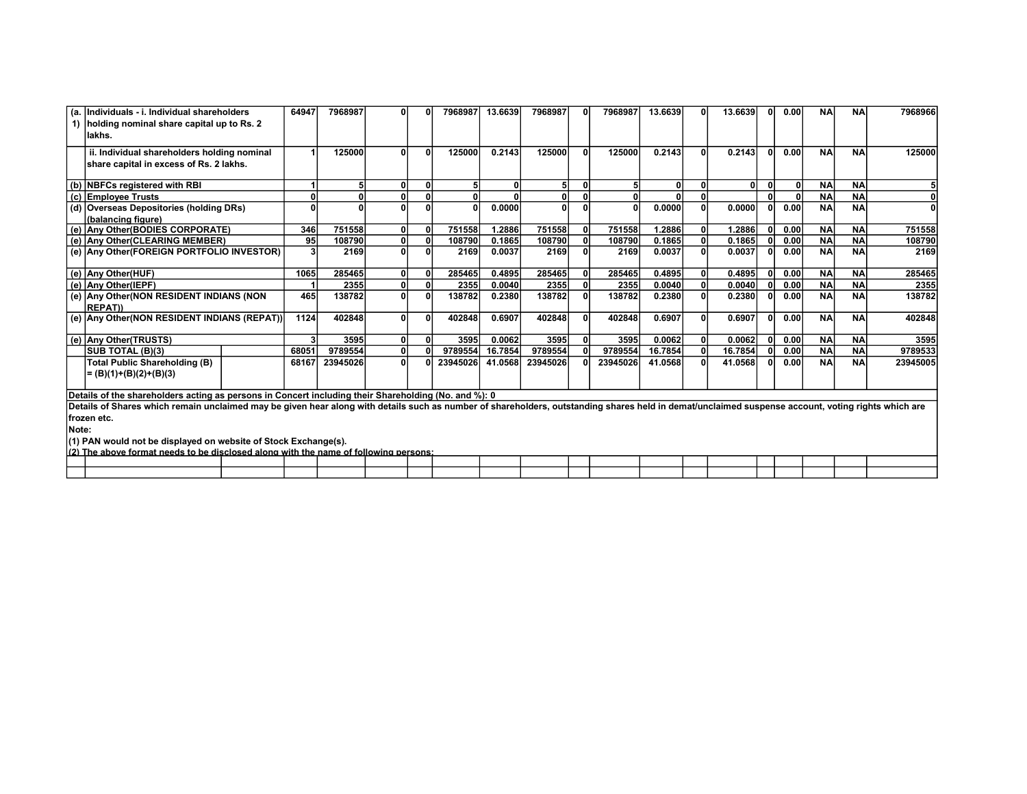|       | (a. Individuals - i. Individual shareholders                                                                                                                                                       | 64947 | 7968987  |  | 7968987  | 13.6639      | 7968987      |   | 7968987  | 13.6639  | 0 | 13.6639 |              | 0.00 | <b>NA</b> | <b>NA</b> | 7968966  |
|-------|----------------------------------------------------------------------------------------------------------------------------------------------------------------------------------------------------|-------|----------|--|----------|--------------|--------------|---|----------|----------|---|---------|--------------|------|-----------|-----------|----------|
|       | 1) holding nominal share capital up to Rs. 2                                                                                                                                                       |       |          |  |          |              |              |   |          |          |   |         |              |      |           |           |          |
|       | llakhs.                                                                                                                                                                                            |       |          |  |          |              |              |   |          |          |   |         |              |      |           |           |          |
|       | ii. Individual shareholders holding nominal                                                                                                                                                        |       | 125000   |  | 125000   | 0.2143       | 125000       |   | 125000   | 0.2143   | 0 | 0.2143  | nl           | 0.00 | <b>NA</b> | <b>NA</b> | 125000   |
|       | share capital in excess of Rs. 2 lakhs.                                                                                                                                                            |       |          |  |          |              |              |   |          |          |   |         |              |      |           |           |          |
|       |                                                                                                                                                                                                    |       |          |  |          |              |              |   |          |          |   |         |              |      |           |           |          |
|       | (b) NBFCs registered with RBI                                                                                                                                                                      |       |          |  |          | $\mathbf{0}$ | 5            |   |          | $\Omega$ |   | ٥I      | $\mathbf{0}$ |      | <b>NA</b> | <b>NA</b> |          |
|       | (c) Employee Trusts                                                                                                                                                                                |       |          |  | 0        |              | $\mathbf{0}$ |   |          |          |   |         |              |      | <b>NA</b> | <b>NA</b> |          |
|       | (d) Overseas Depositories (holding DRs)                                                                                                                                                            |       |          |  | 0        | 0.0000       | $\mathbf{0}$ |   |          | 0.0000   |   | 0.0000  |              | 0.00 | <b>NA</b> | <b>NA</b> |          |
|       | (balancing figure)                                                                                                                                                                                 |       |          |  |          |              |              |   |          |          |   |         |              |      |           |           |          |
|       | (e) Any Other (BODIES CORPORATE)                                                                                                                                                                   | 346   | 751558   |  | 751558   | 1.2886       | 751558       | 0 | 751558   | 1.2886   | O | 1.2886  |              | 0.00 | <b>NA</b> | <b>NA</b> | 751558   |
|       | (e) Any Other(CLEARING MEMBER)                                                                                                                                                                     | 95    | 108790   |  | 108790   | 0.1865       | 108790       |   | 108790   | 0.1865   |   | 0.1865  |              | 0.00 | <b>NA</b> | <b>NA</b> | 108790   |
|       | (e) Any Other (FOREIGN PORTFOLIO INVESTOR)                                                                                                                                                         |       | 2169     |  | 2169     | 0.0037       | 2169         |   | 2169     | 0.0037   |   | 0.0037  |              | 0.00 | <b>NA</b> | <b>NA</b> | 2169     |
|       |                                                                                                                                                                                                    |       |          |  |          |              |              |   |          |          |   |         |              |      |           |           |          |
|       | (e) Any Other(HUF)                                                                                                                                                                                 | 1065  | 285465   |  | 285465   | 0.4895       | 285465       |   | 285465   | 0.4895   |   | 0.4895  |              | 0.00 | <b>NA</b> | <b>NA</b> | 285465   |
|       | (e) Any Other(IEPF)                                                                                                                                                                                |       | 2355     |  | 2355     | 0.0040       | 2355         |   | 2355     | 0.0040   |   | 0.0040  |              | 0.00 | <b>NA</b> | <b>NA</b> | 2355     |
|       | (e) Any Other(NON RESIDENT INDIANS (NON                                                                                                                                                            | 465   | 138782   |  | 138782   | 0.2380       | 138782       |   | 138782   | 0.2380   |   | 0.2380  |              | 0.00 | <b>NA</b> | <b>NA</b> | 138782   |
|       | <b>REPAT))</b>                                                                                                                                                                                     |       |          |  |          |              |              |   |          |          |   |         |              |      |           |           |          |
|       | (e) Any Other(NON RESIDENT INDIANS (REPAT))                                                                                                                                                        | 1124  | 402848   |  | 402848   | 0.6907       | 402848       |   | 402848   | 0.6907   |   | 0.6907  |              | 0.00 | <b>NA</b> | <b>NA</b> | 402848   |
|       |                                                                                                                                                                                                    |       |          |  |          |              |              |   |          |          |   |         |              |      |           |           |          |
|       | (e) Any Other(TRUSTS)                                                                                                                                                                              |       | 3595     |  | 3595     | 0.0062       | 3595         |   | 3595     | 0.0062   |   | 0.0062  |              | 0.00 | <b>NA</b> | <b>NA</b> | 3595     |
|       | <b>ISUB TOTAL (B)(3)</b>                                                                                                                                                                           | 68051 | 9789554  |  | 9789554  | 16.7854      | 9789554      |   | 9789554  | 16.7854  |   | 16.7854 |              | 0.00 | <b>NA</b> | <b>NA</b> | 9789533  |
|       | Total Public Shareholding (B)                                                                                                                                                                      | 68167 | 23945026 |  | 23945026 | 41.0568      | 23945026     |   | 23945026 | 41.0568  |   | 41.0568 |              | 0.00 | <b>NA</b> | <b>NA</b> | 23945005 |
|       | = (B)(1)+(B)(2)+(B)(3)                                                                                                                                                                             |       |          |  |          |              |              |   |          |          |   |         |              |      |           |           |          |
|       |                                                                                                                                                                                                    |       |          |  |          |              |              |   |          |          |   |         |              |      |           |           |          |
|       | Details of the shareholders acting as persons in Concert including their Shareholding (No. and %): 0                                                                                               |       |          |  |          |              |              |   |          |          |   |         |              |      |           |           |          |
|       | Details of Shares which remain unclaimed may be given hear along with details such as number of shareholders, outstanding shares held in demat/unclaimed suspense account, voting rights which are |       |          |  |          |              |              |   |          |          |   |         |              |      |           |           |          |
|       | frozen etc.                                                                                                                                                                                        |       |          |  |          |              |              |   |          |          |   |         |              |      |           |           |          |
| Note: |                                                                                                                                                                                                    |       |          |  |          |              |              |   |          |          |   |         |              |      |           |           |          |
|       | (1) PAN would not be displayed on website of Stock Exchange(s).                                                                                                                                    |       |          |  |          |              |              |   |          |          |   |         |              |      |           |           |          |
|       | (2) The showe formst needs to be disclosed slope with the name of following persons:                                                                                                               |       |          |  |          |              |              |   |          |          |   |         |              |      |           |           |          |

| $\frac{1}{2}$ | ' needs<br>ח ה<br>i ne<br>TO<br>'ma<br>w | . along v<br>∵elos. | with the name | e of following persons: |  |  |  |  |  |  |  |
|---------------|------------------------------------------|---------------------|---------------|-------------------------|--|--|--|--|--|--|--|
|               |                                          |                     |               |                         |  |  |  |  |  |  |  |
|               |                                          |                     |               |                         |  |  |  |  |  |  |  |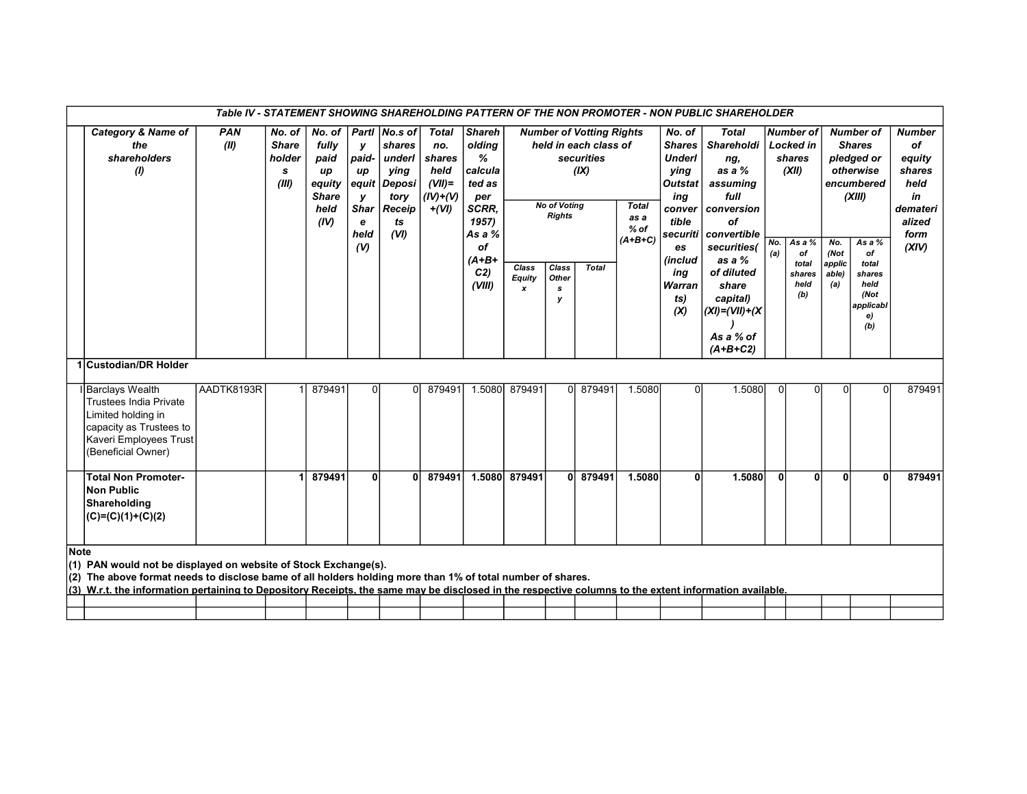|      |                                                                                                                                                                                                                                                                                                                                         |                    |                                                |                                                                         |                                                                             |                                                                                     |                                                                            |                                                                                            |                             |                                      |                                                                                |                                             |                                                                                                                | Table IV - STATEMENT SHOWING SHAREHOLDING PATTERN OF THE NON PROMOTER - NON PUBLIC SHAREHOLDER                      |              |                                                                           |                        |                                                                                                      |                                                                                              |
|------|-----------------------------------------------------------------------------------------------------------------------------------------------------------------------------------------------------------------------------------------------------------------------------------------------------------------------------------------|--------------------|------------------------------------------------|-------------------------------------------------------------------------|-----------------------------------------------------------------------------|-------------------------------------------------------------------------------------|----------------------------------------------------------------------------|--------------------------------------------------------------------------------------------|-----------------------------|--------------------------------------|--------------------------------------------------------------------------------|---------------------------------------------|----------------------------------------------------------------------------------------------------------------|---------------------------------------------------------------------------------------------------------------------|--------------|---------------------------------------------------------------------------|------------------------|------------------------------------------------------------------------------------------------------|----------------------------------------------------------------------------------------------|
|      | <b>Category &amp; Name of</b><br>the<br>shareholders<br>$\mathcal{L}$                                                                                                                                                                                                                                                                   | <b>PAN</b><br>(II) | No. of<br><b>Share</b><br>holder<br>s<br>(III) | No. of<br>fully<br>paid<br>up<br>equity<br><b>Share</b><br>held<br>(IV) | у<br>paid-<br>up<br>equit<br>у<br><b>Shar</b><br>e<br>held<br>$\mathcal{U}$ | Partl No.s of<br>shares<br>underl<br>ving<br>Deposi<br>tory<br>Receip<br>ts<br>(VI) | <b>Total</b><br>no.<br>shares<br>held<br>$(VII)$ =<br>$(IV)+(V)$<br>$+(V)$ | <b>Shareh</b><br>olding<br>%<br>calcula<br>ted as<br>per<br>SCRR,<br>1957)<br>As a %<br>of |                             | <b>No of Voting</b><br><b>Rights</b> | <b>Number of Votting Rights</b><br>held in each class of<br>securities<br>(IX) | <b>Total</b><br>as a<br>$%$ of<br>$(A+B+C)$ | No. of<br><b>Shares</b><br><b>Underl</b><br>ving<br><b>Outstat</b><br>ing<br>conver<br>tible<br>securiti<br>es | <b>Total</b><br>Shareholdi<br>ng,<br>as a $%$<br>assuming<br>full<br>conversion<br>οf<br>convertible<br>securities( | No.<br>(a)   | <b>Number of</b><br><b>Locked in</b><br>shares<br>(XII)<br>As a $%$<br>of | No.<br>(Not            | <b>Number of</b><br><b>Shares</b><br>pledged or<br>otherwise<br>encumbered<br>(XIII)<br>As a %<br>of | <b>Number</b><br>of<br>equity<br>shares<br>held<br>in<br>demateri<br>alized<br>form<br>(XIV) |
|      |                                                                                                                                                                                                                                                                                                                                         |                    |                                                |                                                                         |                                                                             |                                                                                     |                                                                            | $(A+B+$<br>C <sub>2</sub><br>(VIII)                                                        | Class<br><b>Equity</b><br>x | Class<br>Other<br>s<br>v             | <b>Total</b>                                                                   |                                             | (includ<br>ing<br>Warran<br>ts)<br>(X)                                                                         | as a %<br>of diluted<br>share<br>capital)<br>$(XI) = (VII) + (X$<br>As a % of<br>$(A+B+C2)$                         |              | total<br>shares<br>held<br>(b)                                            | applic<br>able)<br>(a) | total<br>shares<br>held<br>(Not<br>applicabl<br>e)<br>(b)                                            |                                                                                              |
|      | 1 Custodian/DR Holder                                                                                                                                                                                                                                                                                                                   |                    |                                                |                                                                         |                                                                             |                                                                                     |                                                                            |                                                                                            |                             |                                      |                                                                                |                                             |                                                                                                                |                                                                                                                     |              |                                                                           |                        |                                                                                                      |                                                                                              |
|      | Barclays Wealth<br><b>Trustees India Private</b><br>Limited holding in<br>capacity as Trustees to<br>Kaveri Employees Trust<br>(Beneficial Owner)                                                                                                                                                                                       | AADTK8193R         |                                                | 879491                                                                  | $\Omega$                                                                    | $\Omega$                                                                            | 879491                                                                     | 1.5080                                                                                     | 879491                      |                                      | 0 879491                                                                       | 1.5080                                      | $\Omega$                                                                                                       | 1.5080                                                                                                              | $\Omega$     |                                                                           | $\Omega$               | 0                                                                                                    | 879491                                                                                       |
|      | <b>Total Non Promoter-</b><br><b>Non Public</b><br>Shareholding<br>$(C)=(C)(1)+(C)(2)$                                                                                                                                                                                                                                                  |                    |                                                | 879491                                                                  | 0                                                                           | $\mathbf{0}$                                                                        | 879491                                                                     | 1.5080                                                                                     | 879491                      |                                      | 0 879491                                                                       | 1.5080                                      | 0l                                                                                                             | 1.5080                                                                                                              | $\mathbf{0}$ | $\mathbf{0}$                                                              | $\mathbf{0}$           | $\Omega$                                                                                             | 879491                                                                                       |
| Note | (1) PAN would not be displayed on website of Stock Exchange(s).<br>(2) The above format needs to disclose bame of all holders holding more than 1% of total number of shares.<br>(3) W.r.t. the information pertaining to Depository Receipts, the same may be disclosed in the respective columns to the extent information available. |                    |                                                |                                                                         |                                                                             |                                                                                     |                                                                            |                                                                                            |                             |                                      |                                                                                |                                             |                                                                                                                |                                                                                                                     |              |                                                                           |                        |                                                                                                      |                                                                                              |
|      |                                                                                                                                                                                                                                                                                                                                         |                    |                                                |                                                                         |                                                                             |                                                                                     |                                                                            |                                                                                            |                             |                                      |                                                                                |                                             |                                                                                                                |                                                                                                                     |              |                                                                           |                        |                                                                                                      |                                                                                              |
|      |                                                                                                                                                                                                                                                                                                                                         |                    |                                                |                                                                         |                                                                             |                                                                                     |                                                                            |                                                                                            |                             |                                      |                                                                                |                                             |                                                                                                                |                                                                                                                     |              |                                                                           |                        |                                                                                                      |                                                                                              |